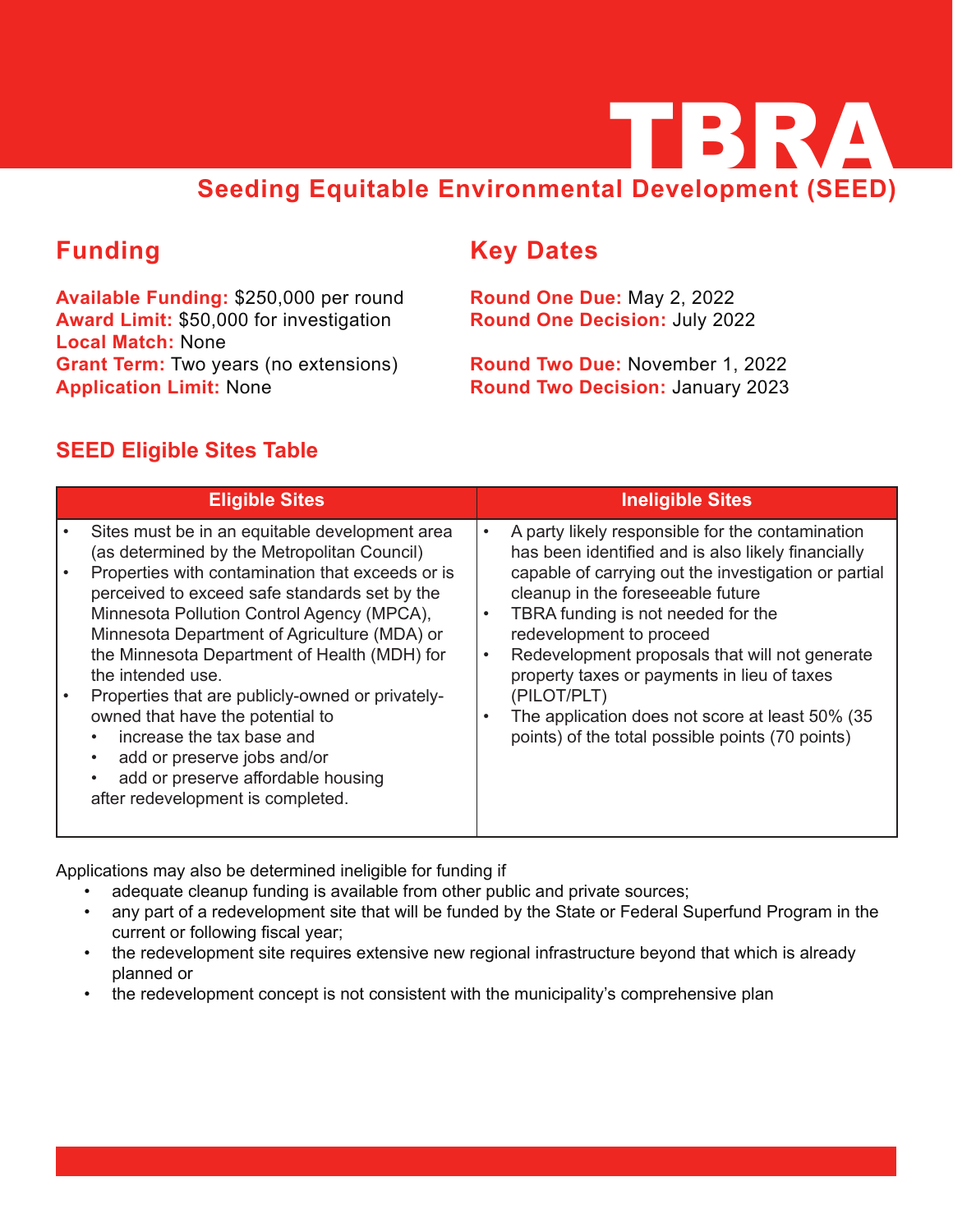

# **Funding**

**Available Funding:** \$250,000 per round **Award Limit:** \$50,000 for investigation **Local Match:** None **Grant Term:** Two years (no extensions) **Application Limit:** None

# **Key Dates**

**Round One Due:** May 2, 2022 **Round One Decision:** July 2022

**Round Two Due:** November 1, 2022 **Round Two Decision:** January 2023

### **SEED Eligible Sites Table**

| <b>Eligible Sites</b>                                                                                                                                                                                                                                                                                                                                                                                                                                                                                                                                                                                                                                                                | <b>Ineligible Sites</b>                                                                                                                                                                                                                                                                                                                                                                                                                                                       |
|--------------------------------------------------------------------------------------------------------------------------------------------------------------------------------------------------------------------------------------------------------------------------------------------------------------------------------------------------------------------------------------------------------------------------------------------------------------------------------------------------------------------------------------------------------------------------------------------------------------------------------------------------------------------------------------|-------------------------------------------------------------------------------------------------------------------------------------------------------------------------------------------------------------------------------------------------------------------------------------------------------------------------------------------------------------------------------------------------------------------------------------------------------------------------------|
| Sites must be in an equitable development area<br>$\bullet$<br>(as determined by the Metropolitan Council)<br>Properties with contamination that exceeds or is<br>perceived to exceed safe standards set by the<br>Minnesota Pollution Control Agency (MPCA),<br>$\bullet$<br>Minnesota Department of Agriculture (MDA) or<br>the Minnesota Department of Health (MDH) for<br>$\bullet$<br>the intended use.<br>Properties that are publicly-owned or privately-<br>(PILOT/PLT)<br>owned that have the potential to<br>$\bullet$<br>increase the tax base and<br>add or preserve jobs and/or<br>add or preserve affordable housing<br>$\bullet$<br>after redevelopment is completed. | A party likely responsible for the contamination<br>has been identified and is also likely financially<br>capable of carrying out the investigation or partial<br>cleanup in the foreseeable future<br>TBRA funding is not needed for the<br>redevelopment to proceed<br>Redevelopment proposals that will not generate<br>property taxes or payments in lieu of taxes<br>The application does not score at least 50% (35<br>points) of the total possible points (70 points) |

Applications may also be determined ineligible for funding if

- adequate cleanup funding is available from other public and private sources;
- any part of a redevelopment site that will be funded by the State or Federal Superfund Program in the current or following fiscal year;
- the redevelopment site requires extensive new regional infrastructure beyond that which is already planned or
- the redevelopment concept is not consistent with the municipality's comprehensive plan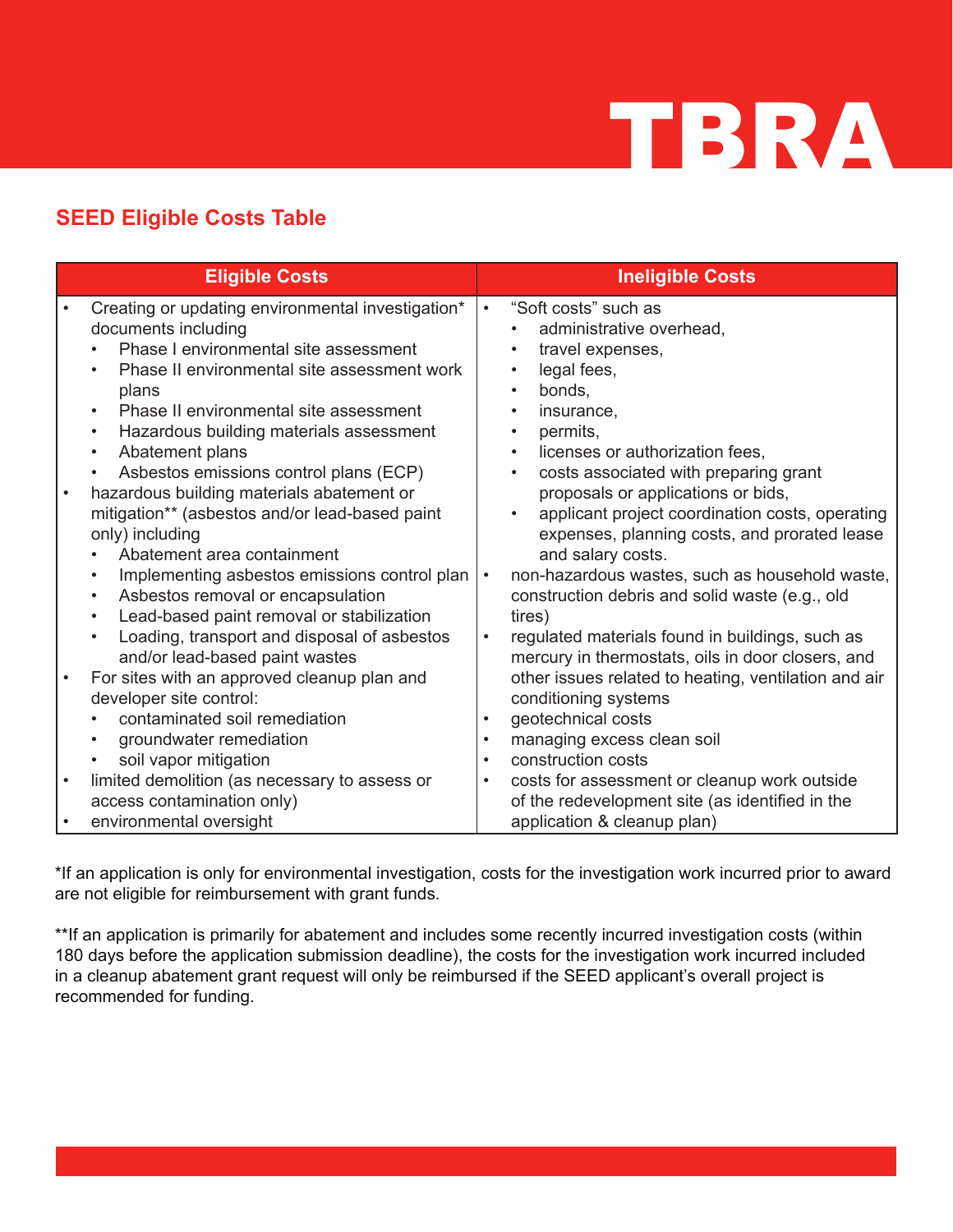

### **SEED Eligible Costs Table**

|           | <b>Eligible Costs</b>                                                                                                                                                                                                                                                                                                                                                                                                                                                                                                           |                                     | <b>Ineligible Costs</b>                                                                                                                                                                                                                                                                                                                                                                                  |
|-----------|---------------------------------------------------------------------------------------------------------------------------------------------------------------------------------------------------------------------------------------------------------------------------------------------------------------------------------------------------------------------------------------------------------------------------------------------------------------------------------------------------------------------------------|-------------------------------------|----------------------------------------------------------------------------------------------------------------------------------------------------------------------------------------------------------------------------------------------------------------------------------------------------------------------------------------------------------------------------------------------------------|
| $\bullet$ | Creating or updating environmental investigation*<br>documents including<br>Phase I environmental site assessment<br>Phase II environmental site assessment work<br>plans<br>Phase II environmental site assessment<br>$\bullet$<br>Hazardous building materials assessment<br>$\bullet$<br>Abatement plans<br>$\bullet$<br>Asbestos emissions control plans (ECP)<br>$\bullet$<br>hazardous building materials abatement or<br>mitigation** (asbestos and/or lead-based paint<br>only) including<br>Abatement area containment | $\bullet$                           | "Soft costs" such as<br>administrative overhead,<br>travel expenses,<br>legal fees,<br>$\bullet$<br>bonds,<br>insurance,<br>permits,<br>licenses or authorization fees,<br>$\bullet$<br>costs associated with preparing grant<br>$\bullet$<br>proposals or applications or bids,<br>applicant project coordination costs, operating<br>expenses, planning costs, and prorated lease<br>and salary costs. |
|           | Implementing asbestos emissions control plan<br>$\bullet$<br>Asbestos removal or encapsulation<br>$\bullet$<br>Lead-based paint removal or stabilization<br>$\bullet$<br>Loading, transport and disposal of asbestos<br>$\bullet$<br>and/or lead-based paint wastes                                                                                                                                                                                                                                                             | $\bullet$<br>$\bullet$              | non-hazardous wastes, such as household waste,<br>construction debris and solid waste (e.g., old<br>tires)<br>regulated materials found in buildings, such as<br>mercury in thermostats, oils in door closers, and                                                                                                                                                                                       |
|           | For sites with an approved cleanup plan and<br>developer site control:<br>contaminated soil remediation<br>groundwater remediation<br>$\bullet$<br>soil vapor mitigation<br>$\bullet$                                                                                                                                                                                                                                                                                                                                           | $\bullet$<br>$\bullet$<br>$\bullet$ | other issues related to heating, ventilation and air<br>conditioning systems<br>geotechnical costs<br>managing excess clean soil<br>construction costs                                                                                                                                                                                                                                                   |
| $\bullet$ | limited demolition (as necessary to assess or<br>access contamination only)<br>environmental oversight                                                                                                                                                                                                                                                                                                                                                                                                                          | $\bullet$                           | costs for assessment or cleanup work outside<br>of the redevelopment site (as identified in the<br>application & cleanup plan)                                                                                                                                                                                                                                                                           |

\*If an application is only for environmental investigation, costs for the investigation work incurred prior to award are not eligible for reimbursement with grant funds.

\*\*If an application is primarily for abatement and includes some recently incurred investigation costs (within 180 days before the application submission deadline), the costs for the investigation work incurred included in a cleanup abatement grant request will only be reimbursed if the SEED applicant's overall project is recommended for funding.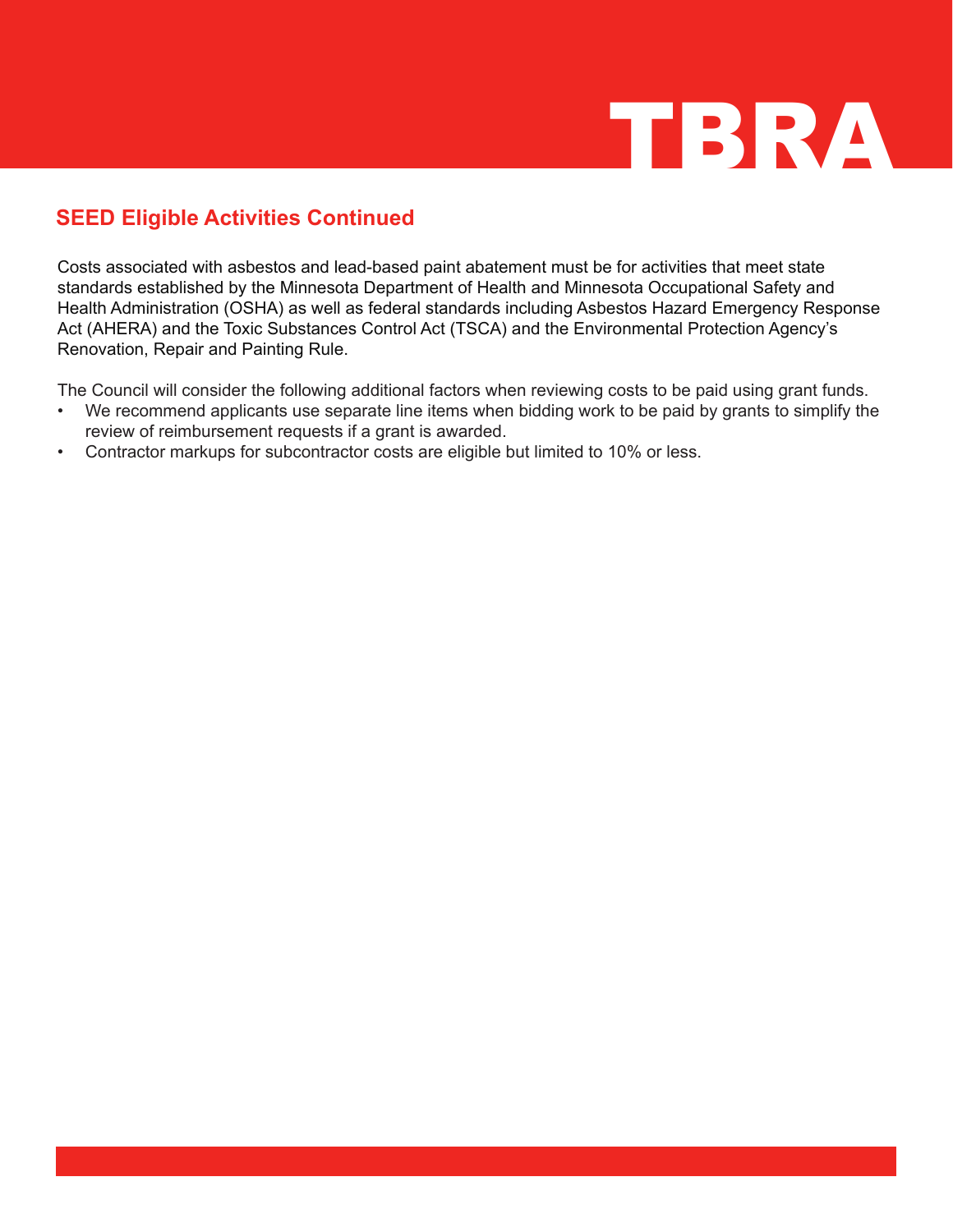

### **SEED Eligible Activities Continued**

Costs associated with asbestos and lead-based paint abatement must be for activities that meet state standards established by the Minnesota Department of Health and Minnesota Occupational Safety and Health Administration (OSHA) as well as federal standards including Asbestos Hazard Emergency Response Act (AHERA) and the Toxic Substances Control Act (TSCA) and the Environmental Protection Agency's Renovation, Repair and Painting Rule.

The Council will consider the following additional factors when reviewing costs to be paid using grant funds.

- We recommend applicants use separate line items when bidding work to be paid by grants to simplify the review of reimbursement requests if a grant is awarded.
- Contractor markups for subcontractor costs are eligible but limited to 10% or less.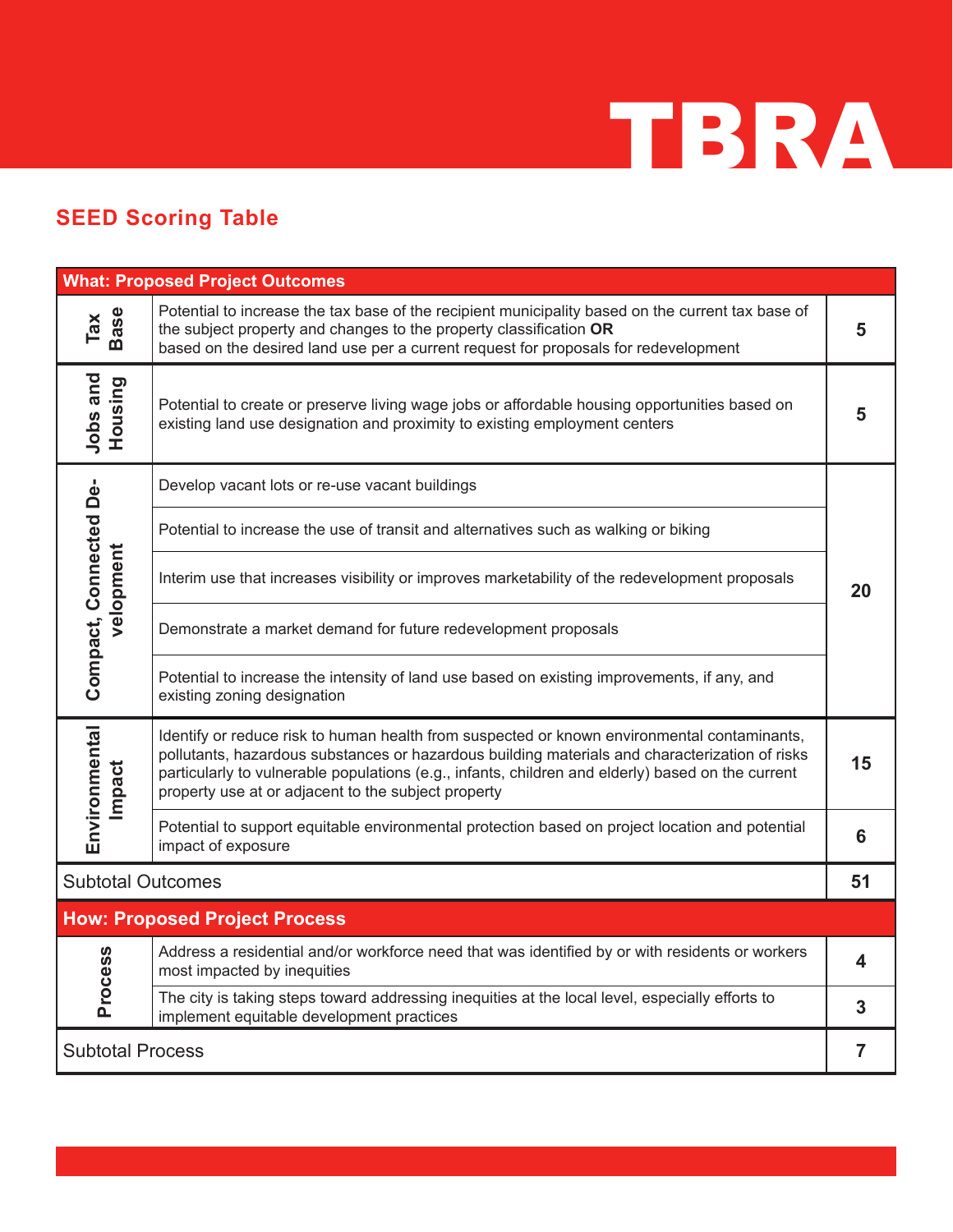

## **SEED Scoring Table**

| <b>What: Proposed Project Outcomes</b> |                                                                                                                                                                                                                                                                                                                                                           |    |  |  |  |  |
|----------------------------------------|-----------------------------------------------------------------------------------------------------------------------------------------------------------------------------------------------------------------------------------------------------------------------------------------------------------------------------------------------------------|----|--|--|--|--|
| Tax<br>Base                            | Potential to increase the tax base of the recipient municipality based on the current tax base of<br>the subject property and changes to the property classification OR<br>based on the desired land use per a current request for proposals for redevelopment                                                                                            | 5  |  |  |  |  |
| Jobs and<br>Housing                    | Potential to create or preserve living wage jobs or affordable housing opportunities based on<br>existing land use designation and proximity to existing employment centers                                                                                                                                                                               | 5  |  |  |  |  |
|                                        | Develop vacant lots or re-use vacant buildings                                                                                                                                                                                                                                                                                                            |    |  |  |  |  |
|                                        | Potential to increase the use of transit and alternatives such as walking or biking                                                                                                                                                                                                                                                                       |    |  |  |  |  |
| Compact, Connected De-<br>velopment    | Interim use that increases visibility or improves marketability of the redevelopment proposals                                                                                                                                                                                                                                                            | 20 |  |  |  |  |
|                                        | Demonstrate a market demand for future redevelopment proposals                                                                                                                                                                                                                                                                                            |    |  |  |  |  |
|                                        | Potential to increase the intensity of land use based on existing improvements, if any, and<br>existing zoning designation                                                                                                                                                                                                                                |    |  |  |  |  |
| Environmental<br>Impact                | Identify or reduce risk to human health from suspected or known environmental contaminants,<br>pollutants, hazardous substances or hazardous building materials and characterization of risks<br>particularly to vulnerable populations (e.g., infants, children and elderly) based on the current<br>property use at or adjacent to the subject property | 15 |  |  |  |  |
|                                        | Potential to support equitable environmental protection based on project location and potential<br>impact of exposure                                                                                                                                                                                                                                     | 6  |  |  |  |  |
| <b>Subtotal Outcomes</b><br>51         |                                                                                                                                                                                                                                                                                                                                                           |    |  |  |  |  |
| <b>How: Proposed Project Process</b>   |                                                                                                                                                                                                                                                                                                                                                           |    |  |  |  |  |
| <b>Process</b>                         | Address a residential and/or workforce need that was identified by or with residents or workers<br>most impacted by inequities                                                                                                                                                                                                                            | 4  |  |  |  |  |
|                                        | The city is taking steps toward addressing inequities at the local level, especially efforts to<br>implement equitable development practices                                                                                                                                                                                                              | 3  |  |  |  |  |
| <b>Subtotal Process</b>                |                                                                                                                                                                                                                                                                                                                                                           |    |  |  |  |  |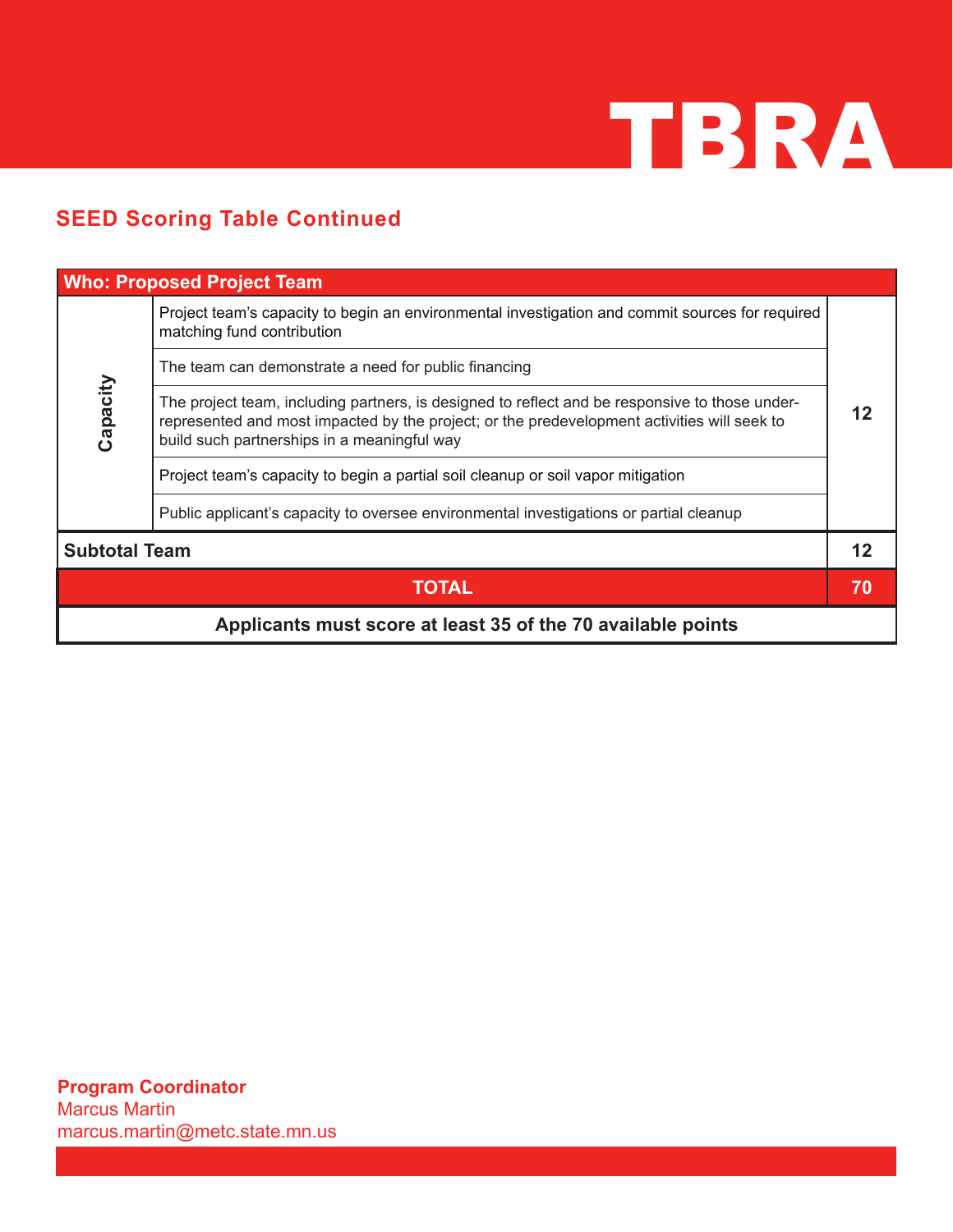

## **SEED Scoring Table Continued**

| <b>Who: Proposed Project Team</b>                            |                                                                                                                                                                                                                                              |    |  |  |  |
|--------------------------------------------------------------|----------------------------------------------------------------------------------------------------------------------------------------------------------------------------------------------------------------------------------------------|----|--|--|--|
|                                                              | Project team's capacity to begin an environmental investigation and commit sources for required<br>matching fund contribution                                                                                                                |    |  |  |  |
|                                                              | The team can demonstrate a need for public financing                                                                                                                                                                                         |    |  |  |  |
| Capacity                                                     | The project team, including partners, is designed to reflect and be responsive to those under-<br>represented and most impacted by the project; or the predevelopment activities will seek to<br>build such partnerships in a meaningful way |    |  |  |  |
|                                                              | Project team's capacity to begin a partial soil cleanup or soil vapor mitigation                                                                                                                                                             |    |  |  |  |
|                                                              | Public applicant's capacity to oversee environmental investigations or partial cleanup                                                                                                                                                       |    |  |  |  |
| <b>Subtotal Team</b>                                         |                                                                                                                                                                                                                                              |    |  |  |  |
|                                                              | <b>TOTAL</b>                                                                                                                                                                                                                                 | 70 |  |  |  |
| Applicants must score at least 35 of the 70 available points |                                                                                                                                                                                                                                              |    |  |  |  |